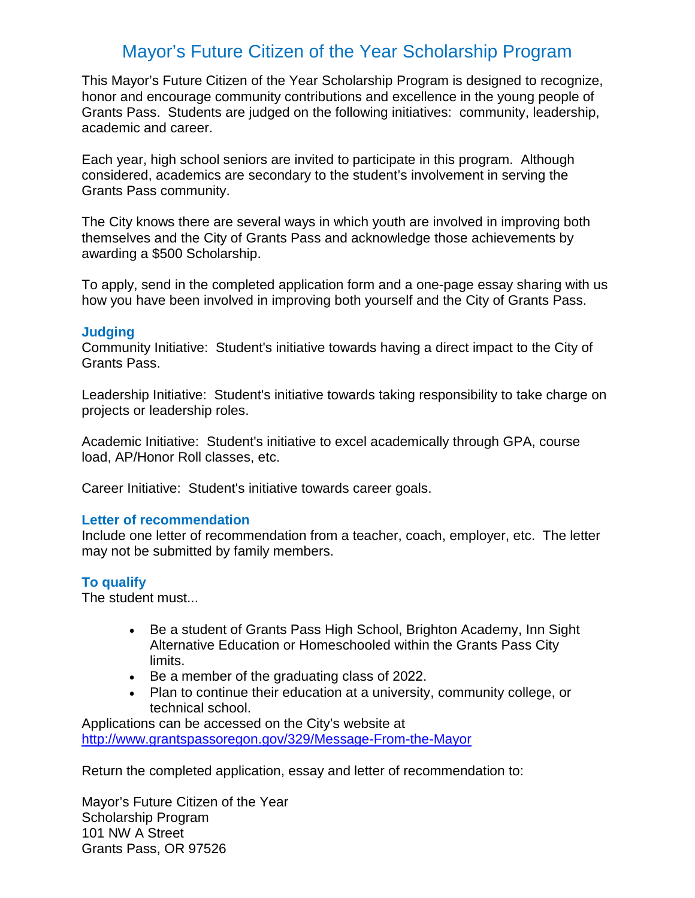## Mayor's Future Citizen of the Year Scholarship Program

This Mayor's Future Citizen of the Year Scholarship Program is designed to recognize, honor and encourage community contributions and excellence in the young people of Grants Pass. Students are judged on the following initiatives: community, leadership, academic and career.

Each year, high school seniors are invited to participate in this program. Although considered, academics are secondary to the student's involvement in serving the Grants Pass community.

The City knows there are several ways in which youth are involved in improving both themselves and the City of Grants Pass and acknowledge those achievements by awarding a \$500 Scholarship.

To apply, send in the completed application form and a one-page essay sharing with us how you have been involved in improving both yourself and the City of Grants Pass.

#### **Judging**

Community Initiative: Student's initiative towards having a direct impact to the City of Grants Pass.

Leadership Initiative: Student's initiative towards taking responsibility to take charge on projects or leadership roles.

Academic Initiative: Student's initiative to excel academically through GPA, course load, AP/Honor Roll classes, etc.

Career Initiative: Student's initiative towards career goals.

#### **Letter of recommendation**

Include one letter of recommendation from a teacher, coach, employer, etc. The letter may not be submitted by family members.

### **To qualify**

The student must...

- Be a student of Grants Pass High School, Brighton Academy, Inn Sight Alternative Education or Homeschooled within the Grants Pass City limits.
- Be a member of the graduating class of 2022.
- Plan to continue their education at a university, community college, or technical school.

Applications can be accessed on the City's website at <http://www.grantspassoregon.gov/329/Message-From-the-Mayor>

Return the completed application, essay and letter of recommendation to:

Mayor's Future Citizen of the Year Scholarship Program 101 NW A Street Grants Pass, OR 97526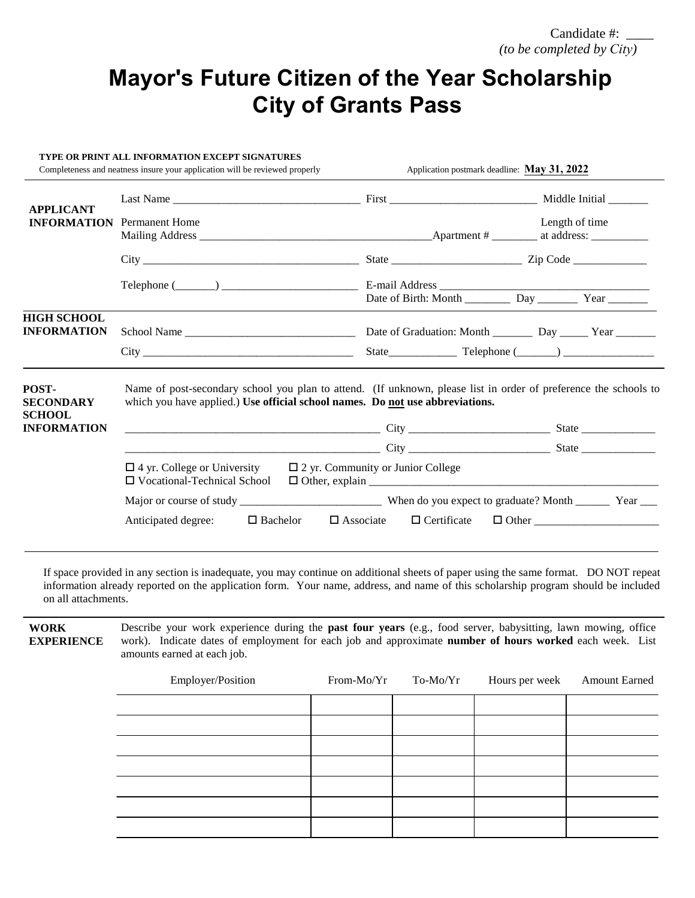# **Mayor's Future Citizen of the Year Scholarship City of Grants Pass**

| TYPE OR PRINT ALL INFORMATION EXCEPT SIGNATURES<br>Completeness and neatness insure your application will be reviewed properly |                                                                                                                                                                                                                                     |                                             | Application postmark deadline: May 31, 2022 |  |  |
|--------------------------------------------------------------------------------------------------------------------------------|-------------------------------------------------------------------------------------------------------------------------------------------------------------------------------------------------------------------------------------|---------------------------------------------|---------------------------------------------|--|--|
| <b>APPLICANT</b>                                                                                                               |                                                                                                                                                                                                                                     |                                             |                                             |  |  |
| <b>INFORMATION</b> Permanent Home                                                                                              |                                                                                                                                                                                                                                     |                                             | Length of time                              |  |  |
|                                                                                                                                |                                                                                                                                                                                                                                     |                                             |                                             |  |  |
|                                                                                                                                | Telephone $(\_\_\_\_\_\_\_\_\_\_\_\$ $\_\_\_\_\_\_\_$ E-mail Address $\_\_\_\_\_\_\_\_\_\_$                                                                                                                                         | Date of Birth: Month Day Day Year           |                                             |  |  |
| <b>HIGH SCHOOL</b><br><b>INFORMATION</b>                                                                                       |                                                                                                                                                                                                                                     |                                             |                                             |  |  |
|                                                                                                                                |                                                                                                                                                                                                                                     |                                             |                                             |  |  |
| POST-<br><b>SECONDARY</b><br><b>SCHOOL</b>                                                                                     | Name of post-secondary school you plan to attend. (If unknown, please list in order of preference the schools to<br>which you have applied.) Use official school names. Do not use abbreviations.                                   |                                             |                                             |  |  |
| <b>INFORMATION</b>                                                                                                             |                                                                                                                                                                                                                                     |                                             |                                             |  |  |
|                                                                                                                                | <u>City</u> 2008. The City 2008 City 2008. The State 2008. The State 2008. The State 2008. The State 2008. The State 2008. The State 2008. The State 2008. The State 2008. The State 2008. The State 30 State 30. State 30. State 3 |                                             |                                             |  |  |
|                                                                                                                                | $\Box$ 4 yr. College or University<br>□ Vocational-Technical School                                                                                                                                                                 | $\square$ 2 yr. Community or Junior College |                                             |  |  |
|                                                                                                                                |                                                                                                                                                                                                                                     |                                             |                                             |  |  |
|                                                                                                                                | Anticipated degree:<br>$\Box$ Bachelor                                                                                                                                                                                              | $\Box$ Associate                            |                                             |  |  |
|                                                                                                                                |                                                                                                                                                                                                                                     |                                             |                                             |  |  |

If space provided in any section is inadequate, you may continue on additional sheets of paper using the same format. DO NOT repeat information already reported on the application form. Your name, address, and name of this scholarship program should be included on all attachments.

**WORK EXPERIENCE** Describe your work experience during the **past four years** (e.g., food server, babysitting, lawn mowing, office work). Indicate dates of employment for each job and approximate **number of hours worked** each week. List amounts earned at each job.

| Employer/Position | From-Mo/Yr | To-Mo/Yr | Hours per week | <b>Amount Earned</b> |
|-------------------|------------|----------|----------------|----------------------|
|                   |            |          |                |                      |
|                   |            |          |                |                      |
|                   |            |          |                |                      |
|                   |            |          |                |                      |
|                   |            |          |                |                      |
|                   |            |          |                |                      |
|                   |            |          |                |                      |